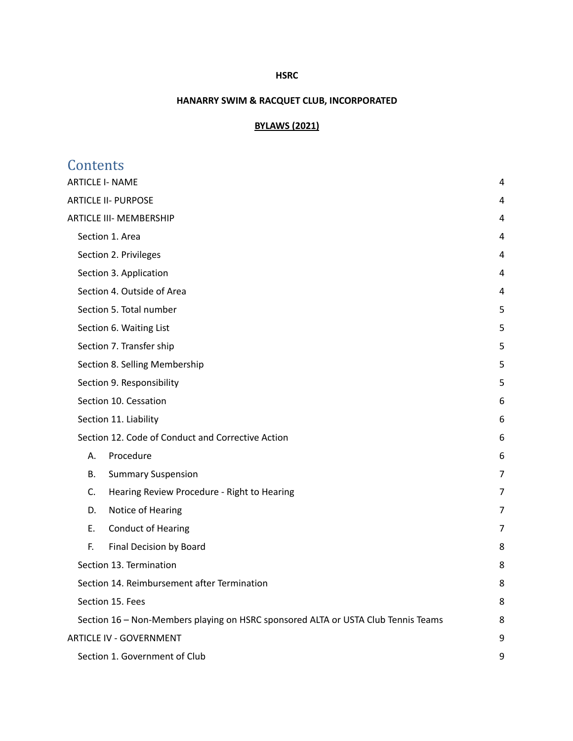### **HSRC**

# **HANARRY SWIM & RACQUET CLUB, INCORPORATED**

# **BYLAWS (2021)**

| Contents                                                                          |                |
|-----------------------------------------------------------------------------------|----------------|
| <b>ARTICLE I- NAME</b>                                                            | 4              |
| <b>ARTICLE II- PURPOSE</b>                                                        | 4              |
| <b>ARTICLE III- MEMBERSHIP</b>                                                    | 4              |
| Section 1. Area                                                                   | 4              |
| Section 2. Privileges                                                             | 4              |
| Section 3. Application                                                            | 4              |
| Section 4. Outside of Area                                                        | 4              |
| Section 5. Total number                                                           | 5              |
| Section 6. Waiting List                                                           | 5              |
| Section 7. Transfer ship                                                          | 5              |
| Section 8. Selling Membership                                                     | 5              |
| Section 9. Responsibility                                                         | 5              |
| Section 10. Cessation                                                             | 6              |
| Section 11. Liability                                                             | 6              |
| Section 12. Code of Conduct and Corrective Action                                 | 6              |
| Procedure<br>Α.                                                                   | 6              |
| <b>Summary Suspension</b><br>В.                                                   | 7              |
| C.<br>Hearing Review Procedure - Right to Hearing                                 | $\overline{7}$ |
| Notice of Hearing<br>D.                                                           | 7              |
| <b>Conduct of Hearing</b><br>Ε.                                                   | 7              |
| F.<br>Final Decision by Board                                                     | 8              |
| Section 13. Termination                                                           | 8              |
| Section 14. Reimbursement after Termination                                       | 8              |
| Section 15. Fees                                                                  | 8              |
| Section 16 - Non-Members playing on HSRC sponsored ALTA or USTA Club Tennis Teams | 8              |
| <b>ARTICLE IV - GOVERNMENT</b>                                                    | 9              |
| Section 1. Government of Club                                                     | 9              |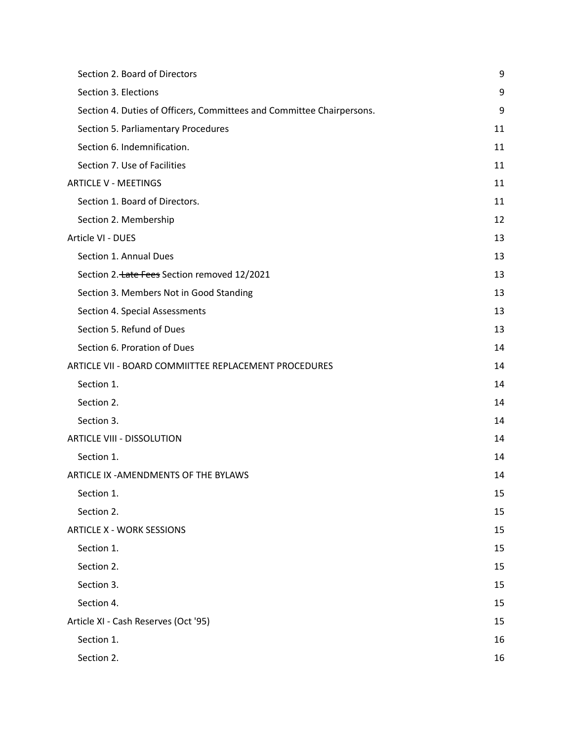| Section 2. Board of Directors                                         | 9  |
|-----------------------------------------------------------------------|----|
| Section 3. Elections                                                  | 9  |
| Section 4. Duties of Officers, Committees and Committee Chairpersons. | 9  |
| Section 5. Parliamentary Procedures                                   | 11 |
| Section 6. Indemnification.                                           | 11 |
| Section 7. Use of Facilities                                          | 11 |
| <b>ARTICLE V - MEETINGS</b>                                           | 11 |
| Section 1. Board of Directors.                                        | 11 |
| Section 2. Membership                                                 | 12 |
| Article VI - DUES                                                     | 13 |
| Section 1. Annual Dues                                                | 13 |
| Section 2. tate Fees Section removed 12/2021                          | 13 |
| Section 3. Members Not in Good Standing                               | 13 |
| Section 4. Special Assessments                                        | 13 |
| Section 5. Refund of Dues                                             | 13 |
| Section 6. Proration of Dues                                          | 14 |
| ARTICLE VII - BOARD COMMIITTEE REPLACEMENT PROCEDURES                 | 14 |
| Section 1.                                                            | 14 |
| Section 2.                                                            | 14 |
| Section 3.                                                            | 14 |
| <b>ARTICLE VIII - DISSOLUTION</b>                                     | 14 |
| Section 1.                                                            | 14 |
| ARTICLE IX - AMENDMENTS OF THE BYLAWS                                 | 14 |
| Section 1.                                                            | 15 |
| Section 2.                                                            | 15 |
| <b>ARTICLE X - WORK SESSIONS</b>                                      | 15 |
| Section 1.                                                            | 15 |
| Section 2.                                                            | 15 |
| Section 3.                                                            | 15 |
| Section 4.                                                            | 15 |
| Article XI - Cash Reserves (Oct '95)                                  | 15 |
| Section 1.                                                            | 16 |
| Section 2.                                                            | 16 |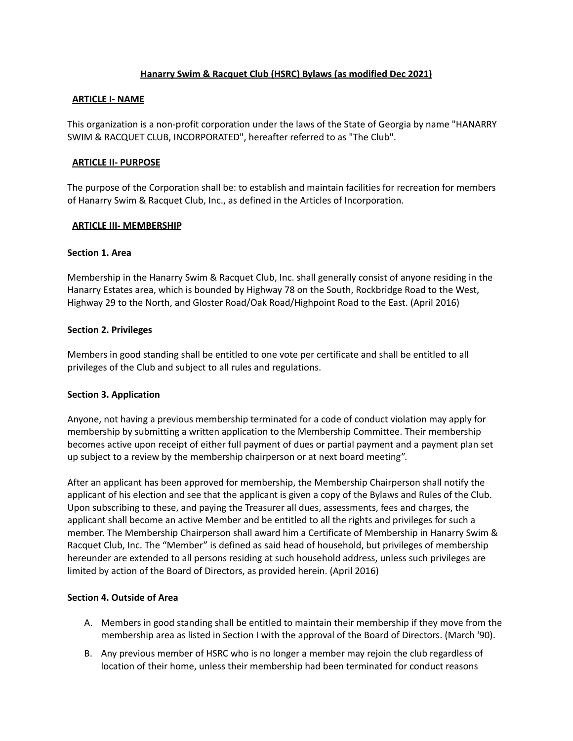## **Hanarry Swim & Racquet Club (HSRC) Bylaws (as modified Dec 2021)**

### <span id="page-3-0"></span>**ARTICLE I- NAME**

This organization is a non-profit corporation under the laws of the State of Georgia by name "HANARRY SWIM & RACQUET CLUB, INCORPORATED", hereafter referred to as "The Club".

### <span id="page-3-1"></span>**ARTICLE II- PURPOSE**

The purpose of the Corporation shall be: to establish and maintain facilities for recreation for members of Hanarry Swim & Racquet Club, Inc., as defined in the Articles of Incorporation.

### <span id="page-3-2"></span>**ARTICLE III- MEMBERSHIP**

### <span id="page-3-3"></span>**Section 1. Area**

Membership in the Hanarry Swim & Racquet Club, Inc. shall generally consist of anyone residing in the Hanarry Estates area, which is bounded by Highway 78 on the South, Rockbridge Road to the West, Highway 29 to the North, and Gloster Road/Oak Road/Highpoint Road to the East. (April 2016)

### <span id="page-3-4"></span>**Section 2. Privileges**

Members in good standing shall be entitled to one vote per certificate and shall be entitled to all privileges of the Club and subject to all rules and regulations.

## <span id="page-3-5"></span>**Section 3. Application**

Anyone, not having a previous membership terminated for a code of conduct violation may apply for membership by submitting a written application to the Membership Committee. Their membership becomes active upon receipt of either full payment of dues or partial payment and a payment plan set up subject to a review by the membership chairperson or at next board meeting".

After an applicant has been approved for membership, the Membership Chairperson shall notify the applicant of his election and see that the applicant is given a copy of the Bylaws and Rules of the Club. Upon subscribing to these, and paying the Treasurer all dues, assessments, fees and charges, the applicant shall become an active Member and be entitled to all the rights and privileges for such a member. The Membership Chairperson shall award him a Certificate of Membership in Hanarry Swim & Racquet Club, Inc. The "Member" is defined as said head of household, but privileges of membership hereunder are extended to all persons residing at such household address, unless such privileges are limited by action of the Board of Directors, as provided herein. (April 2016)

#### <span id="page-3-6"></span>**Section 4. Outside of Area**

- A. Members in good standing shall be entitled to maintain their membership if they move from the membership area as listed in Section I with the approval of the Board of Directors. (March '90).
- B. Any previous member of HSRC who is no longer a member may rejoin the club regardless of location of their home, unless their membership had been terminated for conduct reasons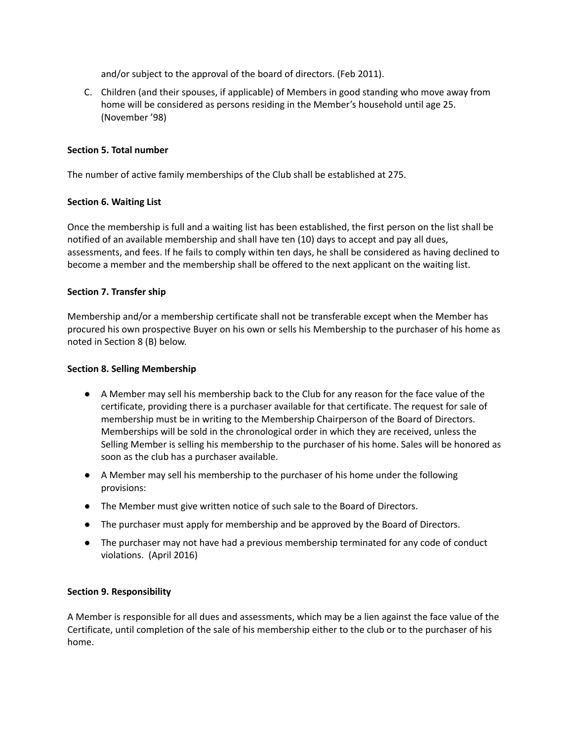and/or subject to the approval of the board of directors. (Feb 2011).

C. Children (and their spouses, if applicable) of Members in good standing who move away from home will be considered as persons residing in the Member's household until age 25. (November '98)

## <span id="page-4-0"></span>**Section 5. Total number**

The number of active family memberships of the Club shall be established at 275.

## <span id="page-4-1"></span>**Section 6. Waiting List**

Once the membership is full and a waiting list has been established, the first person on the list shall be notified of an available membership and shall have ten (10) days to accept and pay all dues, assessments, and fees. If he fails to comply within ten days, he shall be considered as having declined to become a member and the membership shall be offered to the next applicant on the waiting list.

## <span id="page-4-2"></span>**Section 7. Transfer ship**

Membership and/or a membership certificate shall not be transferable except when the Member has procured his own prospective Buyer on his own or sells his Membership to the purchaser of his home as noted in Section 8 (B) below.

## <span id="page-4-3"></span>**Section 8. Selling Membership**

- A Member may sell his membership back to the Club for any reason for the face value of the certificate, providing there is a purchaser available for that certificate. The request for sale of membership must be in writing to the Membership Chairperson of the Board of Directors. Memberships will be sold in the chronological order in which they are received, unless the Selling Member is selling his membership to the purchaser of his home. Sales will be honored as soon as the club has a purchaser available.
- A Member may sell his membership to the purchaser of his home under the following provisions:
- The Member must give written notice of such sale to the Board of Directors.
- The purchaser must apply for membership and be approved by the Board of Directors.
- The purchaser may not have had a previous membership terminated for any code of conduct violations. (April 2016)

## <span id="page-4-4"></span>**Section 9. Responsibility**

A Member is responsible for all dues and assessments, which may be a lien against the face value of the Certificate, until completion of the sale of his membership either to the club or to the purchaser of his home.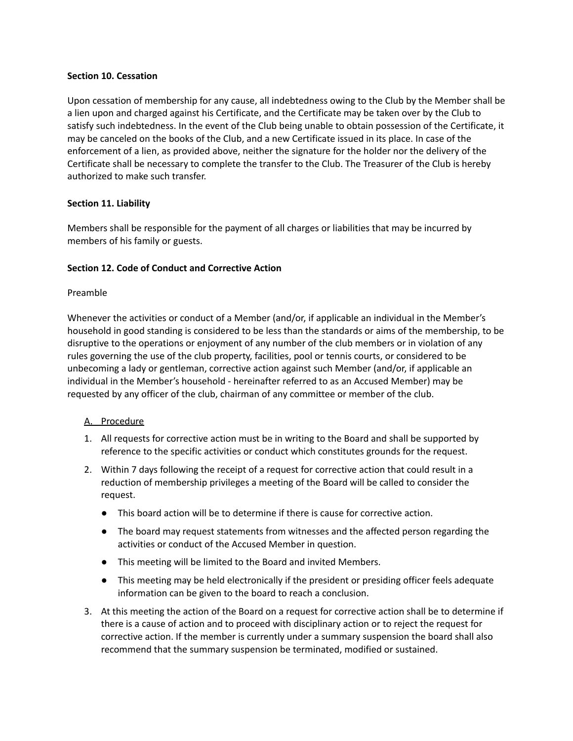### <span id="page-5-0"></span>**Section 10. Cessation**

Upon cessation of membership for any cause, all indebtedness owing to the Club by the Member shall be a lien upon and charged against his Certificate, and the Certificate may be taken over by the Club to satisfy such indebtedness. In the event of the Club being unable to obtain possession of the Certificate, it may be canceled on the books of the Club, and a new Certificate issued in its place. In case of the enforcement of a lien, as provided above, neither the signature for the holder nor the delivery of the Certificate shall be necessary to complete the transfer to the Club. The Treasurer of the Club is hereby authorized to make such transfer.

## <span id="page-5-1"></span>**Section 11. Liability**

Members shall be responsible for the payment of all charges or liabilities that may be incurred by members of his family or guests.

## <span id="page-5-2"></span>**Section 12. Code of Conduct and Corrective Action**

#### Preamble

Whenever the activities or conduct of a Member (and/or, if applicable an individual in the Member's household in good standing is considered to be less than the standards or aims of the membership, to be disruptive to the operations or enjoyment of any number of the club members or in violation of any rules governing the use of the club property, facilities, pool or tennis courts, or considered to be unbecoming a lady or gentleman, corrective action against such Member (and/or, if applicable an individual in the Member's household - hereinafter referred to as an Accused Member) may be requested by any officer of the club, chairman of any committee or member of the club.

#### <span id="page-5-3"></span>A. Procedure

- 1. All requests for corrective action must be in writing to the Board and shall be supported by reference to the specific activities or conduct which constitutes grounds for the request.
- 2. Within 7 days following the receipt of a request for corrective action that could result in a reduction of membership privileges a meeting of the Board will be called to consider the request.
	- This board action will be to determine if there is cause for corrective action.
	- The board may request statements from witnesses and the affected person regarding the activities or conduct of the Accused Member in question.
	- This meeting will be limited to the Board and invited Members.
	- This meeting may be held electronically if the president or presiding officer feels adequate information can be given to the board to reach a conclusion.
- 3. At this meeting the action of the Board on a request for corrective action shall be to determine if there is a cause of action and to proceed with disciplinary action or to reject the request for corrective action. If the member is currently under a summary suspension the board shall also recommend that the summary suspension be terminated, modified or sustained.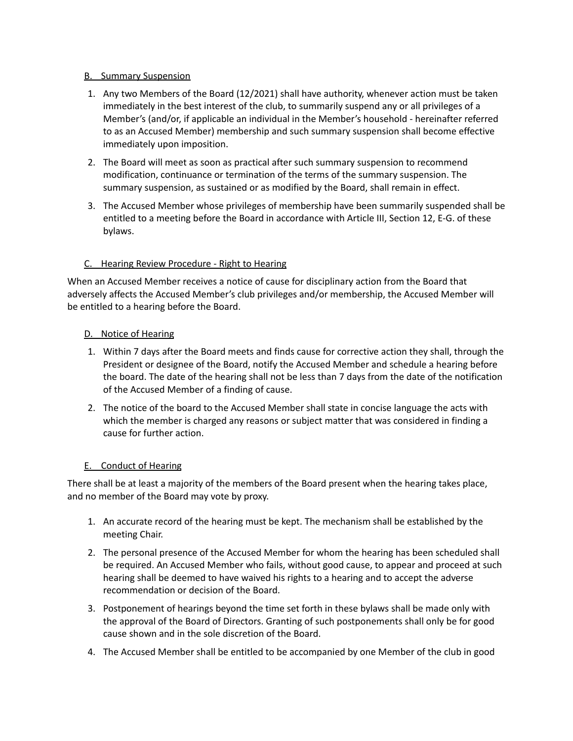## <span id="page-6-0"></span>B. Summary Suspension

- 1. Any two Members of the Board (12/2021) shall have authority, whenever action must be taken immediately in the best interest of the club, to summarily suspend any or all privileges of a Member's (and/or, if applicable an individual in the Member's household - hereinafter referred to as an Accused Member) membership and such summary suspension shall become effective immediately upon imposition.
- 2. The Board will meet as soon as practical after such summary suspension to recommend modification, continuance or termination of the terms of the summary suspension. The summary suspension, as sustained or as modified by the Board, shall remain in effect.
- 3. The Accused Member whose privileges of membership have been summarily suspended shall be entitled to a meeting before the Board in accordance with Article III, Section 12, E-G. of these bylaws.

## <span id="page-6-1"></span>C. Hearing Review Procedure - Right to Hearing

When an Accused Member receives a notice of cause for disciplinary action from the Board that adversely affects the Accused Member's club privileges and/or membership, the Accused Member will be entitled to a hearing before the Board.

## <span id="page-6-2"></span>D. Notice of Hearing

- 1. Within 7 days after the Board meets and finds cause for corrective action they shall, through the President or designee of the Board, notify the Accused Member and schedule a hearing before the board. The date of the hearing shall not be less than 7 days from the date of the notification of the Accused Member of a finding of cause.
- 2. The notice of the board to the Accused Member shall state in concise language the acts with which the member is charged any reasons or subject matter that was considered in finding a cause for further action.

## <span id="page-6-3"></span>E. Conduct of Hearing

There shall be at least a majority of the members of the Board present when the hearing takes place, and no member of the Board may vote by proxy.

- 1. An accurate record of the hearing must be kept. The mechanism shall be established by the meeting Chair.
- 2. The personal presence of the Accused Member for whom the hearing has been scheduled shall be required. An Accused Member who fails, without good cause, to appear and proceed at such hearing shall be deemed to have waived his rights to a hearing and to accept the adverse recommendation or decision of the Board.
- 3. Postponement of hearings beyond the time set forth in these bylaws shall be made only with the approval of the Board of Directors. Granting of such postponements shall only be for good cause shown and in the sole discretion of the Board.
- 4. The Accused Member shall be entitled to be accompanied by one Member of the club in good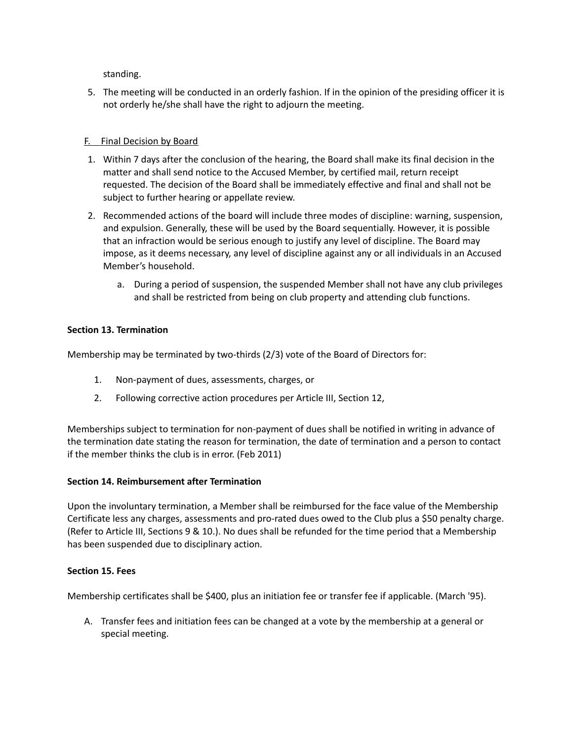standing.

5. The meeting will be conducted in an orderly fashion. If in the opinion of the presiding officer it is not orderly he/she shall have the right to adjourn the meeting.

## <span id="page-7-0"></span>F. Final Decision by Board

- 1. Within 7 days after the conclusion of the hearing, the Board shall make its final decision in the matter and shall send notice to the Accused Member, by certified mail, return receipt requested. The decision of the Board shall be immediately effective and final and shall not be subject to further hearing or appellate review.
- 2. Recommended actions of the board will include three modes of discipline: warning, suspension, and expulsion. Generally, these will be used by the Board sequentially. However, it is possible that an infraction would be serious enough to justify any level of discipline. The Board may impose, as it deems necessary, any level of discipline against any or all individuals in an Accused Member's household.
	- a. During a period of suspension, the suspended Member shall not have any club privileges and shall be restricted from being on club property and attending club functions.

## <span id="page-7-1"></span>**Section 13. Termination**

Membership may be terminated by two-thirds (2/3) vote of the Board of Directors for:

- 1. Non-payment of dues, assessments, charges, or
- 2. Following corrective action procedures per Article III, Section 12,

Memberships subject to termination for non-payment of dues shall be notified in writing in advance of the termination date stating the reason for termination, the date of termination and a person to contact if the member thinks the club is in error. (Feb 2011)

## <span id="page-7-2"></span>**Section 14. Reimbursement after Termination**

Upon the involuntary termination, a Member shall be reimbursed for the face value of the Membership Certificate less any charges, assessments and pro-rated dues owed to the Club plus a \$50 penalty charge. (Refer to Article III, Sections 9 & 10.). No dues shall be refunded for the time period that a Membership has been suspended due to disciplinary action.

## <span id="page-7-3"></span>**Section 15. Fees**

Membership certificates shall be \$400, plus an initiation fee or transfer fee if applicable. (March '95).

A. Transfer fees and initiation fees can be changed at a vote by the membership at a general or special meeting.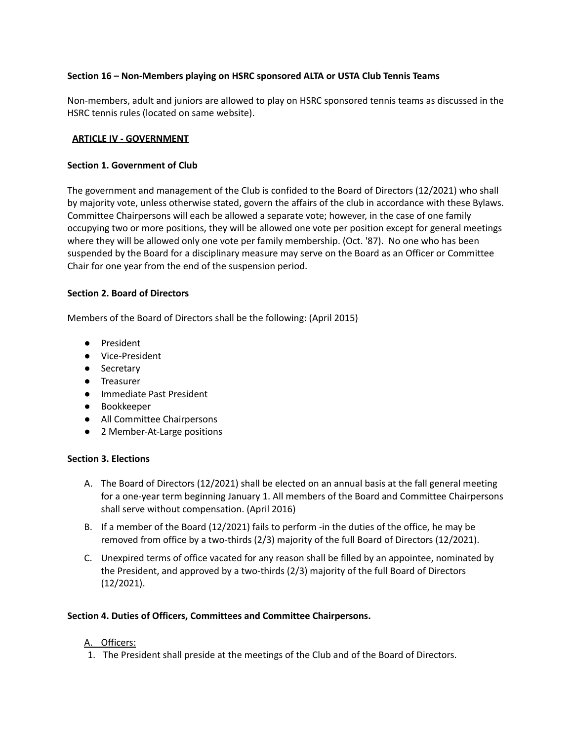## <span id="page-8-0"></span>**Section 16 – Non-Members playing on HSRC sponsored ALTA or USTA Club Tennis Teams**

Non-members, adult and juniors are allowed to play on HSRC sponsored tennis teams as discussed in the HSRC tennis rules (located on same website).

#### <span id="page-8-1"></span>**ARTICLE IV - GOVERNMENT**

#### <span id="page-8-2"></span>**Section 1. Government of Club**

The government and management of the Club is confided to the Board of Directors (12/2021) who shall by majority vote, unless otherwise stated, govern the affairs of the club in accordance with these Bylaws. Committee Chairpersons will each be allowed a separate vote; however, in the case of one family occupying two or more positions, they will be allowed one vote per position except for general meetings where they will be allowed only one vote per family membership. (Oct. '87). No one who has been suspended by the Board for a disciplinary measure may serve on the Board as an Officer or Committee Chair for one year from the end of the suspension period.

### <span id="page-8-3"></span>**Section 2. Board of Directors**

Members of the Board of Directors shall be the following: (April 2015)

- President
- Vice-President
- Secretary
- Treasurer
- Immediate Past President
- Bookkeeper
- All Committee Chairpersons
- **●** 2 Member-At-Large positions

#### <span id="page-8-4"></span>**Section 3. Elections**

- A. The Board of Directors (12/2021) shall be elected on an annual basis at the fall general meeting for a one-year term beginning January 1. All members of the Board and Committee Chairpersons shall serve without compensation. (April 2016)
- B. If a member of the Board (12/2021) fails to perform -in the duties of the office, he may be removed from office by a two-thirds (2/3) majority of the full Board of Directors (12/2021).
- C. Unexpired terms of office vacated for any reason shall be filled by an appointee, nominated by the President, and approved by a two-thirds (2/3) majority of the full Board of Directors (12/2021).

## <span id="page-8-5"></span>**Section 4. Duties of Officers, Committees and Committee Chairpersons.**

## A. Officers:

1. The President shall preside at the meetings of the Club and of the Board of Directors.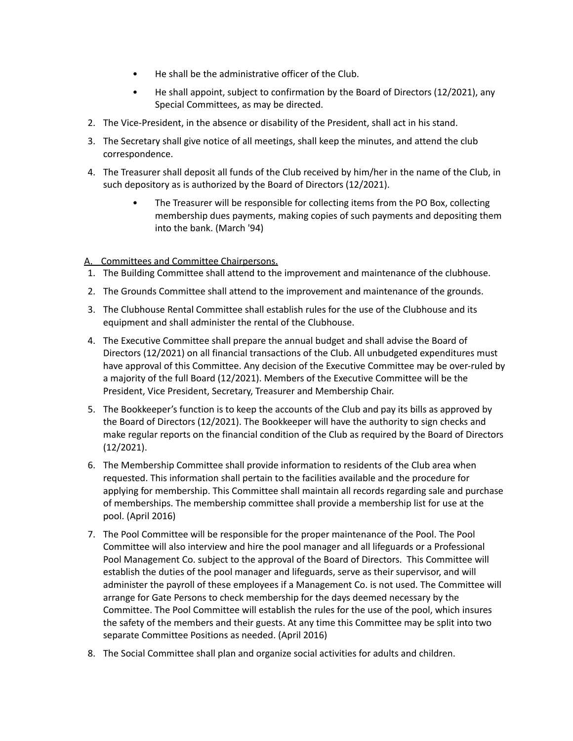- He shall be the administrative officer of the Club.
- He shall appoint, subject to confirmation by the Board of Directors (12/2021), any Special Committees, as may be directed.
- 2. The Vice-President, in the absence or disability of the President, shall act in his stand.
- 3. The Secretary shall give notice of all meetings, shall keep the minutes, and attend the club correspondence.
- 4. The Treasurer shall deposit all funds of the Club received by him/her in the name of the Club, in such depository as is authorized by the Board of Directors (12/2021).
	- The Treasurer will be responsible for collecting items from the PO Box, collecting membership dues payments, making copies of such payments and depositing them into the bank. (March '94)

## A. Committees and Committee Chairpersons.

- 1. The Building Committee shall attend to the improvement and maintenance of the clubhouse.
- 2. The Grounds Committee shall attend to the improvement and maintenance of the grounds.
- 3. The Clubhouse Rental Committee shall establish rules for the use of the Clubhouse and its equipment and shall administer the rental of the Clubhouse.
- 4. The Executive Committee shall prepare the annual budget and shall advise the Board of Directors (12/2021) on all financial transactions of the Club. All unbudgeted expenditures must have approval of this Committee. Any decision of the Executive Committee may be over-ruled by a majority of the full Board (12/2021). Members of the Executive Committee will be the President, Vice President, Secretary, Treasurer and Membership Chair.
- 5. The Bookkeeper's function is to keep the accounts of the Club and pay its bills as approved by the Board of Directors (12/2021). The Bookkeeper will have the authority to sign checks and make regular reports on the financial condition of the Club as required by the Board of Directors (12/2021).
- 6. The Membership Committee shall provide information to residents of the Club area when requested. This information shall pertain to the facilities available and the procedure for applying for membership. This Committee shall maintain all records regarding sale and purchase of memberships. The membership committee shall provide a membership list for use at the pool. (April 2016)
- 7. The Pool Committee will be responsible for the proper maintenance of the Pool. The Pool Committee will also interview and hire the pool manager and all lifeguards or a Professional Pool Management Co. subject to the approval of the Board of Directors. This Committee will establish the duties of the pool manager and lifeguards, serve as their supervisor, and will administer the payroll of these employees if a Management Co. is not used. The Committee will arrange for Gate Persons to check membership for the days deemed necessary by the Committee. The Pool Committee will establish the rules for the use of the pool, which insures the safety of the members and their guests. At any time this Committee may be split into two separate Committee Positions as needed. (April 2016)
- 8. The Social Committee shall plan and organize social activities for adults and children.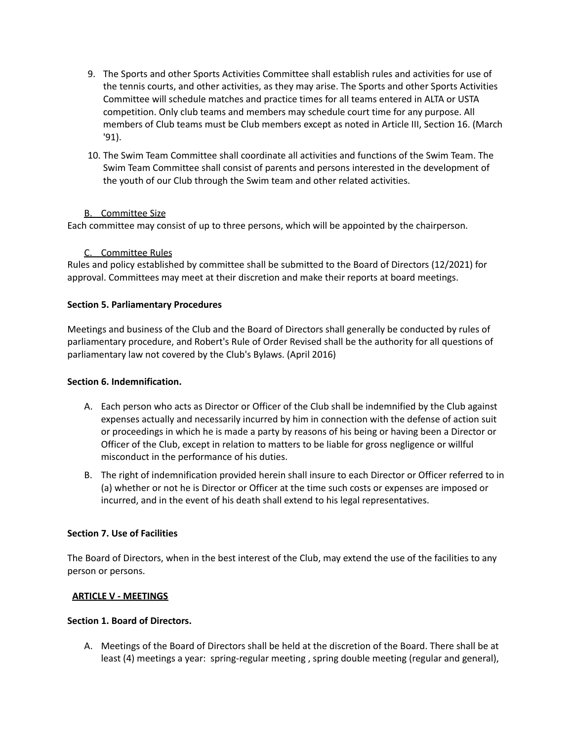- 9. The Sports and other Sports Activities Committee shall establish rules and activities for use of the tennis courts, and other activities, as they may arise. The Sports and other Sports Activities Committee will schedule matches and practice times for all teams entered in ALTA or USTA competition. Only club teams and members may schedule court time for any purpose. All members of Club teams must be Club members except as noted in Article III, Section 16. (March '91).
- 10. The Swim Team Committee shall coordinate all activities and functions of the Swim Team. The Swim Team Committee shall consist of parents and persons interested in the development of the youth of our Club through the Swim team and other related activities.

## **B.** Committee Size

Each committee may consist of up to three persons, which will be appointed by the chairperson.

## C. Committee Rules

Rules and policy established by committee shall be submitted to the Board of Directors (12/2021) for approval. Committees may meet at their discretion and make their reports at board meetings.

## <span id="page-10-0"></span>**Section 5. Parliamentary Procedures**

Meetings and business of the Club and the Board of Directors shall generally be conducted by rules of parliamentary procedure, and Robert's Rule of Order Revised shall be the authority for all questions of parliamentary law not covered by the Club's Bylaws. (April 2016)

## <span id="page-10-1"></span>**Section 6. Indemnification.**

- A. Each person who acts as Director or Officer of the Club shall be indemnified by the Club against expenses actually and necessarily incurred by him in connection with the defense of action suit or proceedings in which he is made a party by reasons of his being or having been a Director or Officer of the Club, except in relation to matters to be liable for gross negligence or willful misconduct in the performance of his duties.
- B. The right of indemnification provided herein shall insure to each Director or Officer referred to in (a) whether or not he is Director or Officer at the time such costs or expenses are imposed or incurred, and in the event of his death shall extend to his legal representatives.

## <span id="page-10-2"></span>**Section 7. Use of Facilities**

The Board of Directors, when in the best interest of the Club, may extend the use of the facilities to any person or persons.

## <span id="page-10-3"></span>**ARTICLE V - MEETINGS**

## <span id="page-10-4"></span>**Section 1. Board of Directors.**

A. Meetings of the Board of Directors shall be held at the discretion of the Board. There shall be at least (4) meetings a year: spring-regular meeting , spring double meeting (regular and general),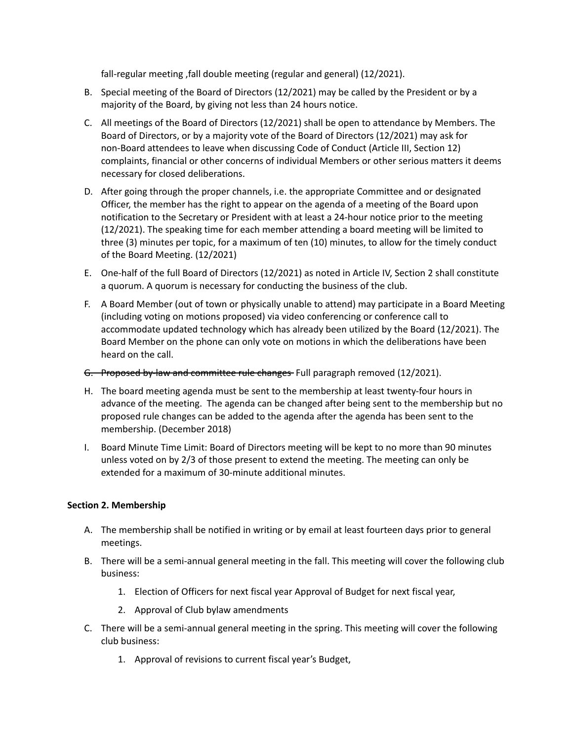fall-regular meeting ,fall double meeting (regular and general) (12/2021).

- B. Special meeting of the Board of Directors (12/2021) may be called by the President or by a majority of the Board, by giving not less than 24 hours notice.
- C. All meetings of the Board of Directors (12/2021) shall be open to attendance by Members. The Board of Directors, or by a majority vote of the Board of Directors (12/2021) may ask for non-Board attendees to leave when discussing Code of Conduct (Article III, Section 12) complaints, financial or other concerns of individual Members or other serious matters it deems necessary for closed deliberations.
- D. After going through the proper channels, i.e. the appropriate Committee and or designated Officer, the member has the right to appear on the agenda of a meeting of the Board upon notification to the Secretary or President with at least a 24-hour notice prior to the meeting (12/2021). The speaking time for each member attending a board meeting will be limited to three (3) minutes per topic, for a maximum of ten (10) minutes, to allow for the timely conduct of the Board Meeting. (12/2021)
- E. One-half of the full Board of Directors (12/2021) as noted in Article IV, Section 2 shall constitute a quorum. A quorum is necessary for conducting the business of the club.
- F. A Board Member (out of town or physically unable to attend) may participate in a Board Meeting (including voting on motions proposed) via video conferencing or conference call to accommodate updated technology which has already been utilized by the Board (12/2021). The Board Member on the phone can only vote on motions in which the deliberations have been heard on the call.
- G. Proposed by-law and committee rule changes Full paragraph removed (12/2021).
- H. The board meeting agenda must be sent to the membership at least twenty-four hours in advance of the meeting. The agenda can be changed after being sent to the membership but no proposed rule changes can be added to the agenda after the agenda has been sent to the membership. (December 2018)
- I. Board Minute Time Limit: Board of Directors meeting will be kept to no more than 90 minutes unless voted on by 2/3 of those present to extend the meeting. The meeting can only be extended for a maximum of 30-minute additional minutes.

## <span id="page-11-0"></span>**Section 2. Membership**

- A. The membership shall be notified in writing or by email at least fourteen days prior to general meetings.
- B. There will be a semi-annual general meeting in the fall. This meeting will cover the following club business:
	- 1. Election of Officers for next fiscal year Approval of Budget for next fiscal year,
	- 2. Approval of Club bylaw amendments
- C. There will be a semi-annual general meeting in the spring. This meeting will cover the following club business:
	- 1. Approval of revisions to current fiscal year's Budget,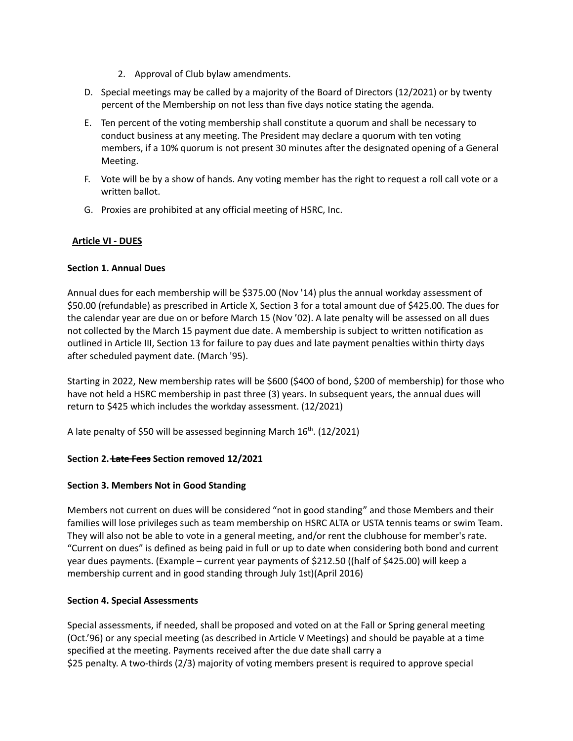- 2. Approval of Club bylaw amendments.
- D. Special meetings may be called by a majority of the Board of Directors (12/2021) or by twenty percent of the Membership on not less than five days notice stating the agenda.
- E. Ten percent of the voting membership shall constitute a quorum and shall be necessary to conduct business at any meeting. The President may declare a quorum with ten voting members, if a 10% quorum is not present 30 minutes after the designated opening of a General Meeting.
- F. Vote will be by a show of hands. Any voting member has the right to request a roll call vote or a written ballot.
- G. Proxies are prohibited at any official meeting of HSRC, Inc.

## <span id="page-12-0"></span>**Article VI - DUES**

## <span id="page-12-1"></span>**Section 1. Annual Dues**

Annual dues for each membership will be \$375.00 (Nov '14) plus the annual workday assessment of \$50.00 (refundable) as prescribed in Article X, Section 3 for a total amount due of \$425.00. The dues for the calendar year are due on or before March 15 (Nov '02). A late penalty will be assessed on all dues not collected by the March 15 payment due date. A membership is subject to written notification as outlined in Article III, Section 13 for failure to pay dues and late payment penalties within thirty days after scheduled payment date. (March '95).

Starting in 2022, New membership rates will be \$600 (\$400 of bond, \$200 of membership) for those who have not held a HSRC membership in past three (3) years. In subsequent years, the annual dues will return to \$425 which includes the workday assessment. (12/2021)

A late penalty of \$50 will be assessed beginning March 16<sup>th</sup>. (12/2021)

## <span id="page-12-2"></span>**Section 2. Late Fees Section removed 12/2021**

## <span id="page-12-3"></span>**Section 3. Members Not in Good Standing**

Members not current on dues will be considered "not in good standing" and those Members and their families will lose privileges such as team membership on HSRC ALTA or USTA tennis teams or swim Team. They will also not be able to vote in a general meeting, and/or rent the clubhouse for member's rate. "Current on dues" is defined as being paid in full or up to date when considering both bond and current year dues payments. (Example – current year payments of \$212.50 ((half of \$425.00) will keep a membership current and in good standing through July 1st)(April 2016)

## <span id="page-12-4"></span>**Section 4. Special Assessments**

Special assessments, if needed, shall be proposed and voted on at the Fall or Spring general meeting (Oct.'96) or any special meeting (as described in Article V Meetings) and should be payable at a time specified at the meeting. Payments received after the due date shall carry a \$25 penalty. A two-thirds (2/3) majority of voting members present is required to approve special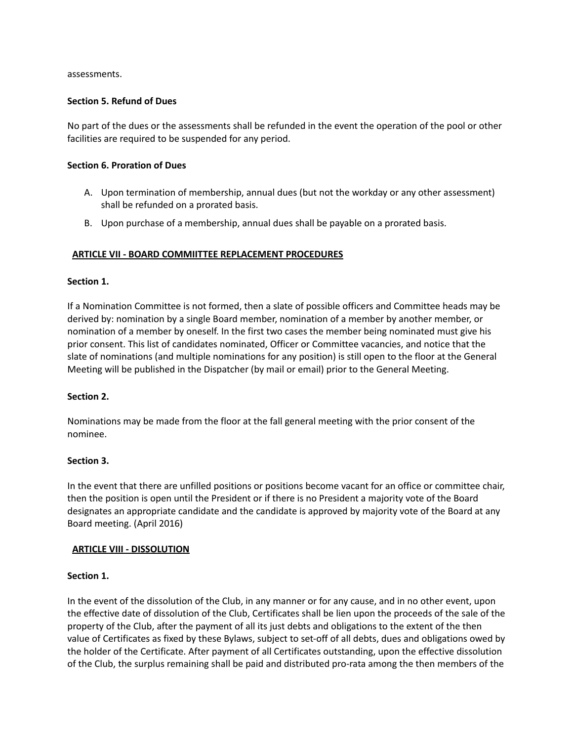assessments.

### <span id="page-13-0"></span>**Section 5. Refund of Dues**

No part of the dues or the assessments shall be refunded in the event the operation of the pool or other facilities are required to be suspended for any period.

#### <span id="page-13-1"></span>**Section 6. Proration of Dues**

- A. Upon termination of membership, annual dues (but not the workday or any other assessment) shall be refunded on a prorated basis.
- B. Upon purchase of a membership, annual dues shall be payable on a prorated basis.

## <span id="page-13-2"></span>**ARTICLE VII - BOARD COMMIITTEE REPLACEMENT PROCEDURES**

### <span id="page-13-3"></span>**Section 1.**

If a Nomination Committee is not formed, then a slate of possible officers and Committee heads may be derived by: nomination by a single Board member, nomination of a member by another member, or nomination of a member by oneself. In the first two cases the member being nominated must give his prior consent. This list of candidates nominated, Officer or Committee vacancies, and notice that the slate of nominations (and multiple nominations for any position) is still open to the floor at the General Meeting will be published in the Dispatcher (by mail or email) prior to the General Meeting.

## <span id="page-13-4"></span>**Section 2.**

Nominations may be made from the floor at the fall general meeting with the prior consent of the nominee.

#### <span id="page-13-5"></span>**Section 3.**

In the event that there are unfilled positions or positions become vacant for an office or committee chair, then the position is open until the President or if there is no President a majority vote of the Board designates an appropriate candidate and the candidate is approved by majority vote of the Board at any Board meeting. (April 2016)

#### <span id="page-13-6"></span>**ARTICLE VIII - DISSOLUTION**

## <span id="page-13-7"></span>**Section 1.**

In the event of the dissolution of the Club, in any manner or for any cause, and in no other event, upon the effective date of dissolution of the Club, Certificates shall be lien upon the proceeds of the sale of the property of the Club, after the payment of all its just debts and obligations to the extent of the then value of Certificates as fixed by these Bylaws, subject to set-off of all debts, dues and obligations owed by the holder of the Certificate. After payment of all Certificates outstanding, upon the effective dissolution of the Club, the surplus remaining shall be paid and distributed pro-rata among the then members of the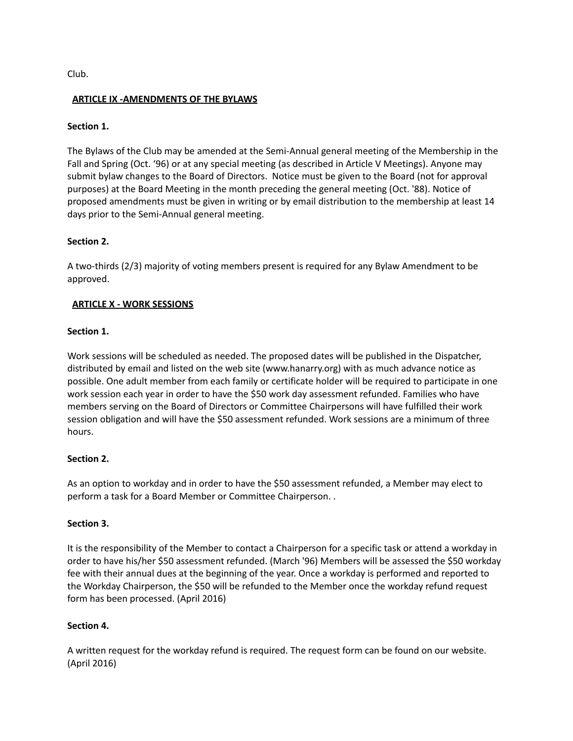Club.

## <span id="page-14-0"></span>**ARTICLE IX -AMENDMENTS OF THE BYLAWS**

## <span id="page-14-1"></span>**Section 1.**

The Bylaws of the Club may be amended at the Semi-Annual general meeting of the Membership in the Fall and Spring (Oct. '96) or at any special meeting (as described in Article V Meetings). Anyone may submit bylaw changes to the Board of Directors. Notice must be given to the Board (not for approval purposes) at the Board Meeting in the month preceding the general meeting (Oct. '88). Notice of proposed amendments must be given in writing or by email distribution to the membership at least 14 days prior to the Semi-Annual general meeting.

## <span id="page-14-2"></span>**Section 2.**

A two-thirds (2/3) majority of voting members present is required for any Bylaw Amendment to be approved.

## <span id="page-14-3"></span>**ARTICLE X - WORK SESSIONS**

## <span id="page-14-4"></span>**Section 1.**

Work sessions will be scheduled as needed. The proposed dates will be published in the Dispatcher, distributed by email and listed on the web site [\(www.hanarry.org](http://www.hanarry.org/)) with as much advance notice as possible. One adult member from each family or certificate holder will be required to participate in one work session each year in order to have the \$50 work day assessment refunded. Families who have members serving on the Board of Directors or Committee Chairpersons will have fulfilled their work session obligation and will have the \$50 assessment refunded. Work sessions are a minimum of three hours.

## <span id="page-14-5"></span>**Section 2.**

As an option to workday and in order to have the \$50 assessment refunded, a Member may elect to perform a task for a Board Member or Committee Chairperson. .

## <span id="page-14-6"></span>**Section 3.**

It is the responsibility of the Member to contact a Chairperson for a specific task or attend a workday in order to have his/her \$50 assessment refunded. (March '96) Members will be assessed the \$50 workday fee with their annual dues at the beginning of the year. Once a workday is performed and reported to the Workday Chairperson, the \$50 will be refunded to the Member once the workday refund request form has been processed. (April 2016)

## <span id="page-14-7"></span>**Section 4.**

A written request for the workday refund is required. The request form can be found on our website. (April 2016)